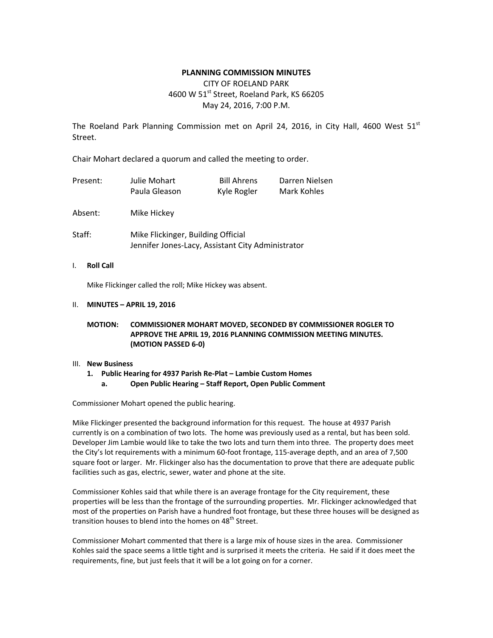### **PLANNING COMMISSION MINUTES**

CITY OF ROELAND PARK 4600 W 51st Street, Roeland Park, KS 66205 May 24, 2016, 7:00 P.M.

The Roeland Park Planning Commission met on April 24, 2016, in City Hall, 4600 West  $51^{st}$ Street.

Chair Mohart declared a quorum and called the meeting to order.

| Present: | Julie Mohart<br>Paula Gleason      | <b>Bill Ahrens</b><br>Kyle Rogler | Darren Nielsen<br>Mark Kohles |  |  |  |
|----------|------------------------------------|-----------------------------------|-------------------------------|--|--|--|
| Absent:  | Mike Hickey                        |                                   |                               |  |  |  |
| Staff:   | Mike Flickinger, Building Official |                                   |                               |  |  |  |

Jennifer Jones-Lacy, Assistant City Administrator

I. **Roll Call**

Mike Flickinger called the roll; Mike Hickey was absent.

#### II. **MINUTES – APRIL 19, 2016**

### **MOTION: COMMISSIONER MOHART MOVED, SECONDED BY COMMISSIONER ROGLER TO APPROVE THE APRIL 19, 2016 PLANNING COMMISSION MEETING MINUTES. (MOTION PASSED 6-0)**

#### III. **New Business**

- **1. Public Hearing for 4937 Parish Re-Plat – Lambie Custom Homes**
	- **a. Open Public Hearing – Staff Report, Open Public Comment**

Commissioner Mohart opened the public hearing.

Mike Flickinger presented the background information for this request. The house at 4937 Parish currently is on a combination of two lots. The home was previously used as a rental, but has been sold. Developer Jim Lambie would like to take the two lots and turn them into three. The property does meet the City's lot requirements with a minimum 60-foot frontage, 115-average depth, and an area of 7,500 square foot or larger. Mr. Flickinger also has the documentation to prove that there are adequate public facilities such as gas, electric, sewer, water and phone at the site.

Commissioner Kohles said that while there is an average frontage for the City requirement, these properties will be less than the frontage of the surrounding properties. Mr. Flickinger acknowledged that most of the properties on Parish have a hundred foot frontage, but these three houses will be designed as transition houses to blend into the homes on 48<sup>th</sup> Street.

Commissioner Mohart commented that there is a large mix of house sizes in the area. Commissioner Kohles said the space seems a little tight and is surprised it meets the criteria. He said if it does meet the requirements, fine, but just feels that it will be a lot going on for a corner.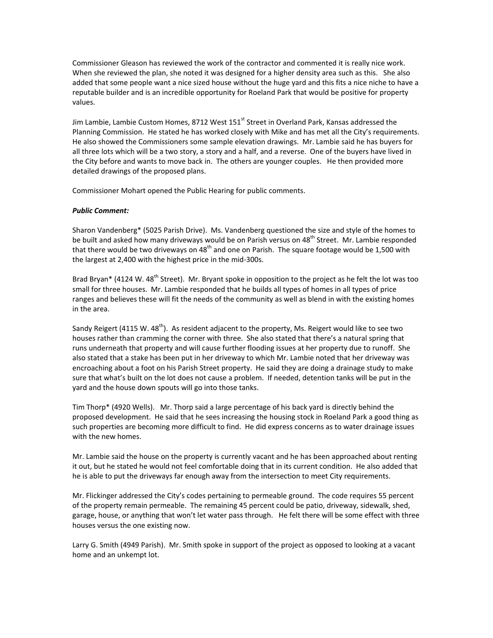Commissioner Gleason has reviewed the work of the contractor and commented it is really nice work. When she reviewed the plan, she noted it was designed for a higher density area such as this. She also added that some people want a nice sized house without the huge yard and this fits a nice niche to have a reputable builder and is an incredible opportunity for Roeland Park that would be positive for property values.

Jim Lambie, Lambie Custom Homes, 8712 West 151<sup>st</sup> Street in Overland Park, Kansas addressed the Planning Commission. He stated he has worked closely with Mike and has met all the City's requirements. He also showed the Commissioners some sample elevation drawings. Mr. Lambie said he has buyers for all three lots which will be a two story, a story and a half, and a reverse. One of the buyers have lived in the City before and wants to move back in. The others are younger couples. He then provided more detailed drawings of the proposed plans.

Commissioner Mohart opened the Public Hearing for public comments.

# *Public Comment:*

Sharon Vandenberg\* (5025 Parish Drive). Ms. Vandenberg questioned the size and style of the homes to be built and asked how many driveways would be on Parish versus on 48<sup>th</sup> Street. Mr. Lambie responded that there would be two driveways on 48<sup>th</sup> and one on Parish. The square footage would be 1,500 with the largest at 2,400 with the highest price in the mid-300s.

Brad Bryan\* (4124 W. 48<sup>th</sup> Street). Mr. Bryant spoke in opposition to the project as he felt the lot was too small for three houses. Mr. Lambie responded that he builds all types of homes in all types of price ranges and believes these will fit the needs of the community as well as blend in with the existing homes in the area.

Sandy Reigert (4115 W. 48<sup>th</sup>). As resident adjacent to the property, Ms. Reigert would like to see two houses rather than cramming the corner with three. She also stated that there's a natural spring that runs underneath that property and will cause further flooding issues at her property due to runoff. She also stated that a stake has been put in her driveway to which Mr. Lambie noted that her driveway was encroaching about a foot on his Parish Street property. He said they are doing a drainage study to make sure that what's built on the lot does not cause a problem. If needed, detention tanks will be put in the yard and the house down spouts will go into those tanks.

Tim Thorp\* (4920 Wells). Mr. Thorp said a large percentage of his back yard is directly behind the proposed development. He said that he sees increasing the housing stock in Roeland Park a good thing as such properties are becoming more difficult to find. He did express concerns as to water drainage issues with the new homes.

Mr. Lambie said the house on the property is currently vacant and he has been approached about renting it out, but he stated he would not feel comfortable doing that in its current condition. He also added that he is able to put the driveways far enough away from the intersection to meet City requirements.

Mr. Flickinger addressed the City's codes pertaining to permeable ground. The code requires 55 percent of the property remain permeable. The remaining 45 percent could be patio, driveway, sidewalk, shed, garage, house, or anything that won't let water pass through. He felt there will be some effect with three houses versus the one existing now.

Larry G. Smith (4949 Parish). Mr. Smith spoke in support of the project as opposed to looking at a vacant home and an unkempt lot.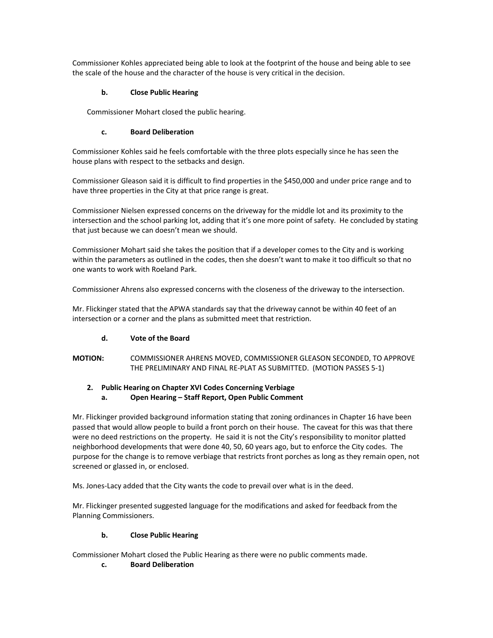Commissioner Kohles appreciated being able to look at the footprint of the house and being able to see the scale of the house and the character of the house is very critical in the decision.

# **b. Close Public Hearing**

Commissioner Mohart closed the public hearing.

# **c. Board Deliberation**

Commissioner Kohles said he feels comfortable with the three plots especially since he has seen the house plans with respect to the setbacks and design.

Commissioner Gleason said it is difficult to find properties in the \$450,000 and under price range and to have three properties in the City at that price range is great.

Commissioner Nielsen expressed concerns on the driveway for the middle lot and its proximity to the intersection and the school parking lot, adding that it's one more point of safety. He concluded by stating that just because we can doesn't mean we should.

Commissioner Mohart said she takes the position that if a developer comes to the City and is working within the parameters as outlined in the codes, then she doesn't want to make it too difficult so that no one wants to work with Roeland Park.

Commissioner Ahrens also expressed concerns with the closeness of the driveway to the intersection.

Mr. Flickinger stated that the APWA standards say that the driveway cannot be within 40 feet of an intersection or a corner and the plans as submitted meet that restriction.

# **d. Vote of the Board**

**MOTION:** COMMISSIONER AHRENS MOVED, COMMISSIONER GLEASON SECONDED, TO APPROVE THE PRELIMINARY AND FINAL RE-PLAT AS SUBMITTED. (MOTION PASSES 5-1)

# **2. Public Hearing on Chapter XVI Codes Concerning Verbiage**

**a. Open Hearing – Staff Report, Open Public Comment**

Mr. Flickinger provided background information stating that zoning ordinances in Chapter 16 have been passed that would allow people to build a front porch on their house. The caveat for this was that there were no deed restrictions on the property. He said it is not the City's responsibility to monitor platted neighborhood developments that were done 40, 50, 60 years ago, but to enforce the City codes. The purpose for the change is to remove verbiage that restricts front porches as long as they remain open, not screened or glassed in, or enclosed.

Ms. Jones-Lacy added that the City wants the code to prevail over what is in the deed.

Mr. Flickinger presented suggested language for the modifications and asked for feedback from the Planning Commissioners.

### **b. Close Public Hearing**

Commissioner Mohart closed the Public Hearing as there were no public comments made.

# **c. Board Deliberation**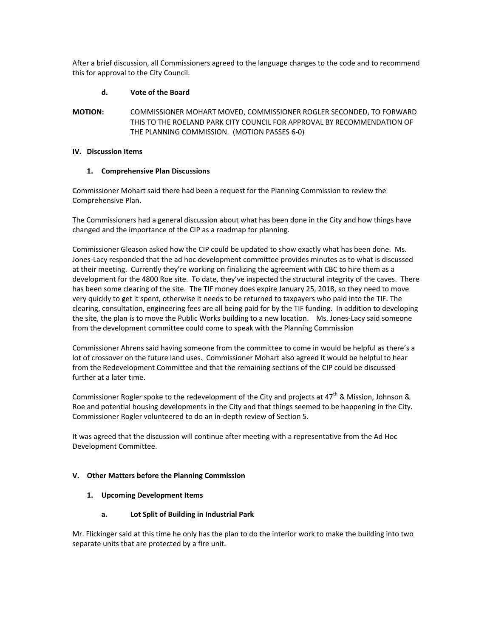After a brief discussion, all Commissioners agreed to the language changes to the code and to recommend this for approval to the City Council.

### **d. Vote of the Board**

**MOTION:** COMMISSIONER MOHART MOVED, COMMISSIONER ROGLER SECONDED, TO FORWARD THIS TO THE ROELAND PARK CITY COUNCIL FOR APPROVAL BY RECOMMENDATION OF THE PLANNING COMMISSION. (MOTION PASSES 6-0)

### **IV. Discussion Items**

# **1. Comprehensive Plan Discussions**

Commissioner Mohart said there had been a request for the Planning Commission to review the Comprehensive Plan.

The Commissioners had a general discussion about what has been done in the City and how things have changed and the importance of the CIP as a roadmap for planning.

Commissioner Gleason asked how the CIP could be updated to show exactly what has been done. Ms. Jones-Lacy responded that the ad hoc development committee provides minutes as to what is discussed at their meeting. Currently they're working on finalizing the agreement with CBC to hire them as a development for the 4800 Roe site. To date, they've inspected the structural integrity of the caves. There has been some clearing of the site. The TIF money does expire January 25, 2018, so they need to move very quickly to get it spent, otherwise it needs to be returned to taxpayers who paid into the TIF. The clearing, consultation, engineering fees are all being paid for by the TIF funding. In addition to developing the site, the plan is to move the Public Works building to a new location. Ms. Jones-Lacy said someone from the development committee could come to speak with the Planning Commission

Commissioner Ahrens said having someone from the committee to come in would be helpful as there's a lot of crossover on the future land uses. Commissioner Mohart also agreed it would be helpful to hear from the Redevelopment Committee and that the remaining sections of the CIP could be discussed further at a later time.

Commissioner Rogler spoke to the redevelopment of the City and projects at  $47<sup>th</sup>$  & Mission, Johnson & Roe and potential housing developments in the City and that things seemed to be happening in the City. Commissioner Rogler volunteered to do an in-depth review of Section 5.

It was agreed that the discussion will continue after meeting with a representative from the Ad Hoc Development Committee.

### **V. Other Matters before the Planning Commission**

**1. Upcoming Development Items**

# **a. Lot Split of Building in Industrial Park**

Mr. Flickinger said at this time he only has the plan to do the interior work to make the building into two separate units that are protected by a fire unit.